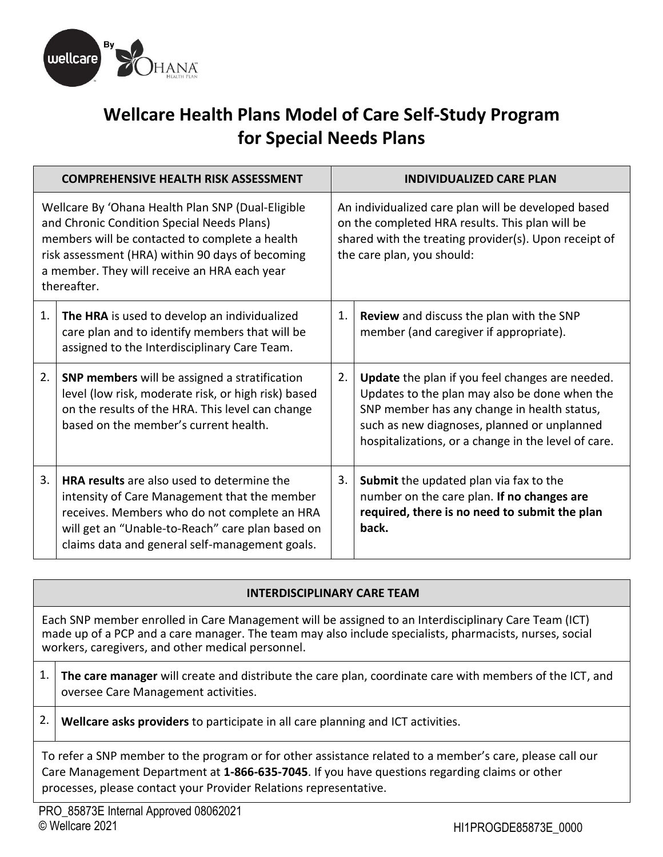

# **Wellcare Health Plans Model of Care Self-Study Program for Special Needs Plans**

|                                                                                                                                                                                                                                                                      | <b>COMPREHENSIVE HEALTH RISK ASSESSMENT</b>                                                                                                                                                                                                             |                                                                                                                                                                                               | <b>INDIVIDUALIZED CARE PLAN</b>                                                                                                                                                                                                                              |
|----------------------------------------------------------------------------------------------------------------------------------------------------------------------------------------------------------------------------------------------------------------------|---------------------------------------------------------------------------------------------------------------------------------------------------------------------------------------------------------------------------------------------------------|-----------------------------------------------------------------------------------------------------------------------------------------------------------------------------------------------|--------------------------------------------------------------------------------------------------------------------------------------------------------------------------------------------------------------------------------------------------------------|
| Wellcare By 'Ohana Health Plan SNP (Dual-Eligible<br>and Chronic Condition Special Needs Plans)<br>members will be contacted to complete a health<br>risk assessment (HRA) within 90 days of becoming<br>a member. They will receive an HRA each year<br>thereafter. |                                                                                                                                                                                                                                                         | An individualized care plan will be developed based<br>on the completed HRA results. This plan will be<br>shared with the treating provider(s). Upon receipt of<br>the care plan, you should: |                                                                                                                                                                                                                                                              |
| 1.                                                                                                                                                                                                                                                                   | The HRA is used to develop an individualized<br>care plan and to identify members that will be<br>assigned to the Interdisciplinary Care Team.                                                                                                          | 1.                                                                                                                                                                                            | Review and discuss the plan with the SNP<br>member (and caregiver if appropriate).                                                                                                                                                                           |
| 2.                                                                                                                                                                                                                                                                   | <b>SNP members</b> will be assigned a stratification<br>level (low risk, moderate risk, or high risk) based<br>on the results of the HRA. This level can change<br>based on the member's current health.                                                | 2.                                                                                                                                                                                            | <b>Update</b> the plan if you feel changes are needed.<br>Updates to the plan may also be done when the<br>SNP member has any change in health status,<br>such as new diagnoses, planned or unplanned<br>hospitalizations, or a change in the level of care. |
| 3.                                                                                                                                                                                                                                                                   | <b>HRA results</b> are also used to determine the<br>intensity of Care Management that the member<br>receives. Members who do not complete an HRA<br>will get an "Unable-to-Reach" care plan based on<br>claims data and general self-management goals. | 3.                                                                                                                                                                                            | Submit the updated plan via fax to the<br>number on the care plan. If no changes are<br>required, there is no need to submit the plan<br>back.                                                                                                               |

### **INTERDISCIPLINARY CARE TEAM**

 Each SNP member enrolled in Care Management will be assigned to an Interdisciplinary Care Team (ICT) made up of a PCP and a care manager. The team may also include specialists, pharmacists, nurses, social workers, caregivers, and other medical personnel.

- 1. **The care manager** will create and distribute the care plan, coordinate care with members of the ICT, and oversee Care Management activities.
- 2. **Wellcare asks providers** to participate in all care planning and ICT activities.

 To refer a SNP member to the program or for other assistance related to a member's care, please call our Care Management Department at **1-866-635-7045**. If you have questions regarding claims or other processes, please contact your Provider Relations representative.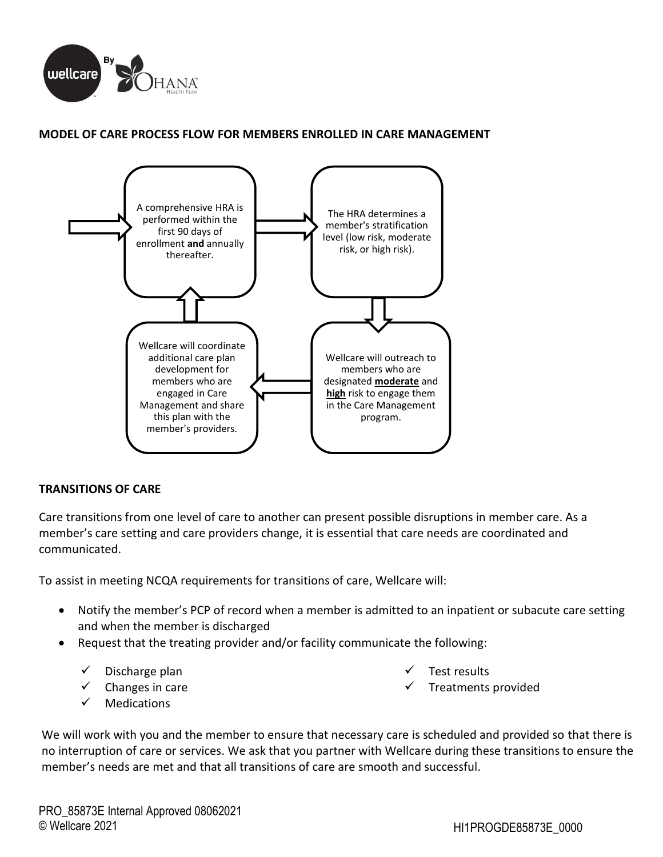

#### **MODEL OF CARE PROCESS FLOW FOR MEMBERS ENROLLED IN CARE MANAGEMENT**



#### **TRANSITIONS OF CARE**

 Care transitions from one level of care to another can present possible disruptions in member care. As a member's care setting and care providers change, it is essential that care needs are coordinated and communicated.

To assist in meeting NCQA requirements for transitions of care, Wellcare will:

- Notify the member's PCP of record when a member is admitted to an inpatient or subacute care setting and when the member is discharged
- Request that the treating provider and/or facility communicate the following:
	- Discharge plan
	- $\checkmark$  Changes in care
	- $\checkmark$  Medications
- Test results
- Treatments provided

 We will work with you and the member to ensure that necessary care is scheduled and provided so that there is no interruption of care or services. We ask that you partner with Wellcare during these transitions to ensure the member's needs are met and that all transitions of care are smooth and successful.